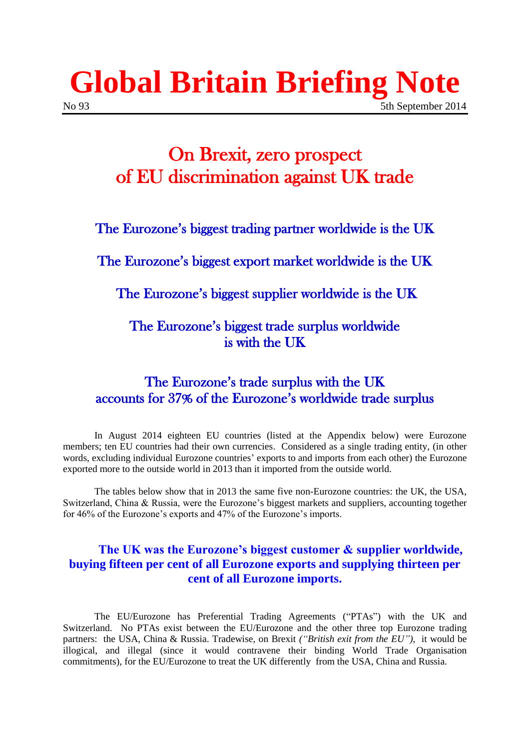## **Global Britain Briefing Note** No 93 5th September 2014

### On Brexit, zero prospect of EU discrimination against UK trade

The Eurozone's biggest trading partner worldwide is the UK

The Eurozone's biggest export market worldwide is the UK

The Eurozone's biggest supplier worldwide is the UK

The Eurozone's biggest trade surplus worldwide is with the UK

#### The Eurozone's trade surplus with the UK accounts for 37% of the Eurozone's worldwide trade surplus

In August 2014 eighteen EU countries (listed at the Appendix below) were Eurozone members; ten EU countries had their own currencies. Considered as a single trading entity, (in other words, excluding individual Eurozone countries' exports to and imports from each other) the Eurozone exported more to the outside world in 2013 than it imported from the outside world.

The tables below show that in 2013 the same five non-Eurozone countries: the UK, the USA, Switzerland, China & Russia, were the Eurozone's biggest markets and suppliers, accounting together for 46% of the Eurozone's exports and 47% of the Eurozone's imports.

#### **The UK was the Eurozone's biggest customer & supplier worldwide, buying fifteen per cent of all Eurozone exports and supplying thirteen per cent of all Eurozone imports.**

The EU/Eurozone has Preferential Trading Agreements ("PTAs") with the UK and Switzerland. No PTAs exist between the EU/Eurozone and the other three top Eurozone trading partners: the USA, China & Russia. Tradewise, on Brexit *("British exit from the EU")*, it would be illogical, and illegal (since it would contravene their binding World Trade Organisation commitments), for the EU/Eurozone to treat the UK differently from the USA, China and Russia.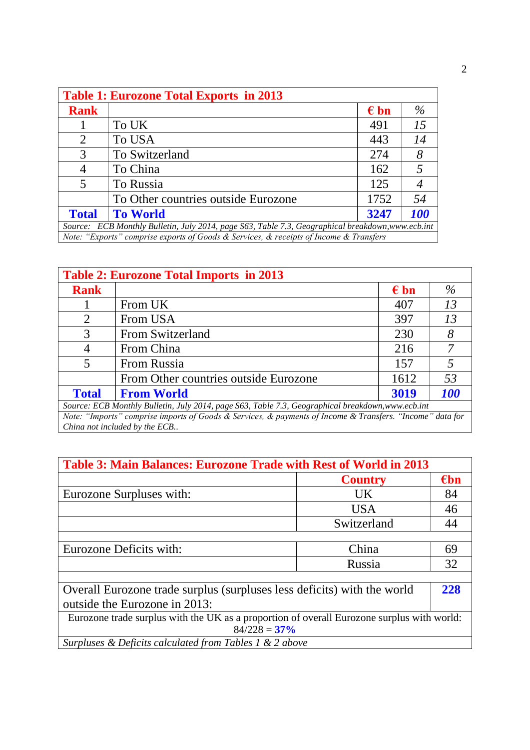| <b>Table 1: Eurozone Total Exports in 2013</b>                                                    |                                     |               |            |  |  |
|---------------------------------------------------------------------------------------------------|-------------------------------------|---------------|------------|--|--|
| <b>Rank</b>                                                                                       |                                     | $\epsilon$ bn | $\%$       |  |  |
|                                                                                                   | To UK                               | 491           | 15         |  |  |
| 2                                                                                                 | To USA                              | 443           | 14         |  |  |
| 3                                                                                                 | To Switzerland                      | 274           | 8          |  |  |
| 4                                                                                                 | To China                            | 162           |            |  |  |
| 5                                                                                                 | To Russia                           | 125           |            |  |  |
|                                                                                                   | To Other countries outside Eurozone | 1752          | 54         |  |  |
| <b>Total</b>                                                                                      | <b>To World</b>                     | 3247          | <b>100</b> |  |  |
| Source: ECB Monthly Bulletin, July 2014, page S63, Table 7.3, Geographical breakdown, www.ecb.int |                                     |               |            |  |  |
| Note: "Exports" comprise exports of Goods & Services, & receipts of Income & Transfers            |                                     |               |            |  |  |

| <b>Table 2: Eurozone Total Imports in 2013</b>                                                            |                                       |               |            |  |  |  |
|-----------------------------------------------------------------------------------------------------------|---------------------------------------|---------------|------------|--|--|--|
| <b>Rank</b>                                                                                               |                                       | $\epsilon$ bn | $\%$       |  |  |  |
|                                                                                                           | From UK                               | 407           | 13         |  |  |  |
| 2                                                                                                         | From USA                              | 397           | 13         |  |  |  |
| 3                                                                                                         | From Switzerland                      | 230           | 8          |  |  |  |
| 4                                                                                                         | From China                            | 216           |            |  |  |  |
| 5                                                                                                         | From Russia                           | 157           |            |  |  |  |
|                                                                                                           | From Other countries outside Eurozone | 1612          | 53         |  |  |  |
| <b>Total</b>                                                                                              | <b>From World</b>                     | 3019          | <b>100</b> |  |  |  |
| Source: ECB Monthly Bulletin, July 2014, page S63, Table 7.3, Geographical breakdown, www.ecb.int         |                                       |               |            |  |  |  |
| Note: "Imports" comprise imports of Goods & Services, & payments of Income & Transfers. "Income" data for |                                       |               |            |  |  |  |
| China not included by the ECB                                                                             |                                       |               |            |  |  |  |

| Table 3: Main Balances: Eurozone Trade with Rest of World in 2013                          |                |               |  |  |
|--------------------------------------------------------------------------------------------|----------------|---------------|--|--|
|                                                                                            | <b>Country</b> | $\epsilon$ bn |  |  |
| Eurozone Surpluses with:                                                                   | <b>UK</b>      | 84            |  |  |
|                                                                                            | <b>USA</b>     | 46            |  |  |
|                                                                                            | Switzerland    | 44            |  |  |
|                                                                                            |                |               |  |  |
| Eurozone Deficits with:                                                                    | China          | 69            |  |  |
|                                                                                            | Russia         | 32            |  |  |
|                                                                                            |                |               |  |  |
| Overall Eurozone trade surplus (surpluses less deficits) with the world                    |                |               |  |  |
| outside the Eurozone in 2013:                                                              |                |               |  |  |
| Eurozone trade surplus with the UK as a proportion of overall Eurozone surplus with world: |                |               |  |  |
| $84/228 = 37\%$                                                                            |                |               |  |  |
| Surpluses & Deficits calculated from Tables 1 & 2 above                                    |                |               |  |  |